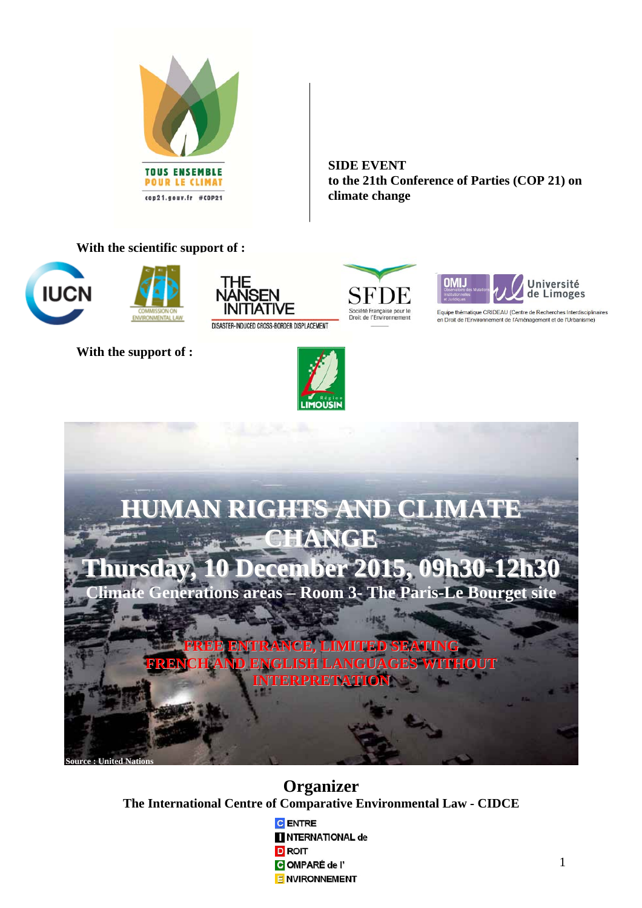

**SIDE EVENT to the 21th Conference of Parties (COP 21) on climate change**

## **With the scientific support of :**





**With the support of :** 



SFI Société Française pour le<br>Droit de l'Environnement



Equipe thématique CRIDEAU (Centre de Recherches Interdisciplinaires en Droit de l'Environnement de l'Aménagement et de l'Urbanisme)



**Organizer The International Centre of Comparative Environmental Law - CIDCE** 

> **C** ENTRE **NTERNATIONAL de D** ROIT COMPARÉ de l' **E NVIRONNEMENT**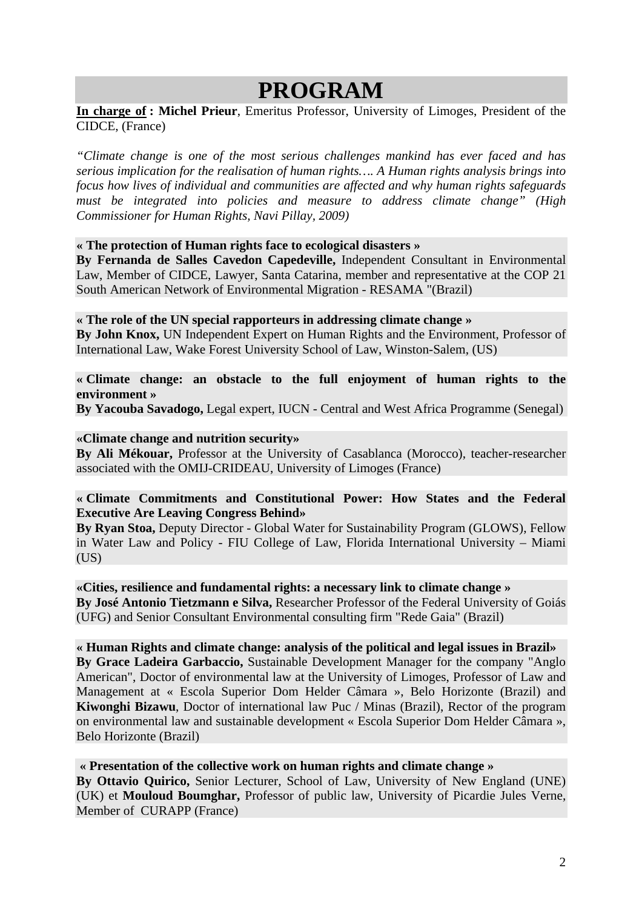# **PROGRAM**

**In charge of : Michel Prieur**, Emeritus Professor, University of Limoges, President of the CIDCE, (France)

*"Climate change is one of the most serious challenges mankind has ever faced and has serious implication for the realisation of human rights…. A Human rights analysis brings into focus how lives of individual and communities are affected and why human rights safeguards must be integrated into policies and measure to address climate change" (High Commissioner for Human Rights, Navi Pillay, 2009)* 

### **« The protection of Human rights face to ecological disasters »**

**By Fernanda de Salles Cavedon Capedeville,** Independent Consultant in Environmental Law, Member of CIDCE, Lawyer, Santa Catarina, member and representative at the COP 21 South American Network of Environmental Migration - RESAMA "(Brazil)

#### **« The role of the UN special rapporteurs in addressing climate change »**

**By John Knox,** UN Independent Expert on Human Rights and the Environment, Professor of International Law, Wake Forest University School of Law, Winston-Salem, (US)

## **« Climate change: an obstacle to the full enjoyment of human rights to the environment »**

**By Yacouba Savadogo,** Legal expert, IUCN - Central and West Africa Programme (Senegal)

### **«Climate change and nutrition security»**

**By Ali Mékouar,** Professor at the University of Casablanca (Morocco), teacher-researcher associated with the OMIJ-CRIDEAU, University of Limoges (France)

## **« Climate Commitments and Constitutional Power: How States and the Federal Executive Are Leaving Congress Behind»**

**By Ryan Stoa,** Deputy Director - Global Water for Sustainability Program (GLOWS), Fellow in Water Law and Policy - FIU College of Law, Florida International University – Miami  $(US)$ 

#### **«Cities, resilience and fundamental rights: a necessary link to climate change »**

**By José Antonio Tietzmann e Silva,** Researcher Professor of the Federal University of Goiás (UFG) and Senior Consultant Environmental consulting firm "Rede Gaia" (Brazil)

#### **« Human Rights and climate change: analysis of the political and legal issues in Brazil»**

**By Grace Ladeira Garbaccio,** Sustainable Development Manager for the company "Anglo American", Doctor of environmental law at the University of Limoges, Professor of Law and Management at « Escola Superior Dom Helder Câmara », Belo Horizonte (Brazil) and **Kiwonghi Bizawu**, Doctor of international law Puc / Minas (Brazil), Rector of the program on environmental law and sustainable development « Escola Superior Dom Helder Câmara », Belo Horizonte (Brazil)

#### **« Presentation of the collective work on human rights and climate change »**

**By Ottavio Quirico,** Senior Lecturer, School of Law, University of New England (UNE) (UK) et **Mouloud Boumghar,** Professor of public law, University of Picardie Jules Verne, Member of CURAPP (France)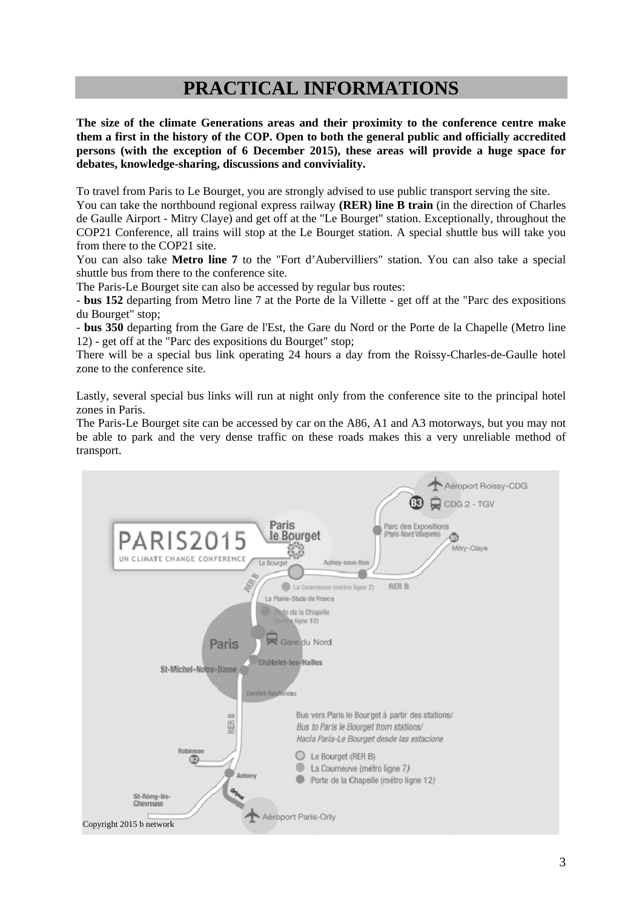## **PRACTICAL INFORMATIONS**

**The size of the climate Generations areas and their proximity to the conference centre make them a first in the history of the COP. Open to both the general public and officially accredited persons (with the exception of 6 December 2015), these areas will provide a huge space for debates, knowledge-sharing, discussions and conviviality.** 

To travel from Paris to Le Bourget, you are strongly advised to use public transport serving the site.

You can take the northbound regional express railway **(RER) line B train** (in the direction of Charles de Gaulle Airport - Mitry Claye) and get off at the "Le Bourget" station. Exceptionally, throughout the COP21 Conference, all trains will stop at the Le Bourget station. A special shuttle bus will take you from there to the COP21 site.

You can also take **Metro line 7** to the "Fort d'Aubervilliers" station. You can also take a special shuttle bus from there to the conference site.

The Paris-Le Bourget site can also be accessed by regular bus routes:

- **bus 152** departing from Metro line 7 at the Porte de la Villette - get off at the "Parc des expositions du Bourget" stop;

- **bus 350** departing from the Gare de l'Est, the Gare du Nord or the Porte de la Chapelle (Metro line 12) - get off at the "Parc des expositions du Bourget" stop;

There will be a special bus link operating 24 hours a day from the Roissy-Charles-de-Gaulle hotel zone to the conference site.

Lastly, several special bus links will run at night only from the conference site to the principal hotel zones in Paris.

The Paris-Le Bourget site can be accessed by car on the A86, A1 and A3 motorways, but you may not be able to park and the very dense traffic on these roads makes this a very unreliable method of transport.